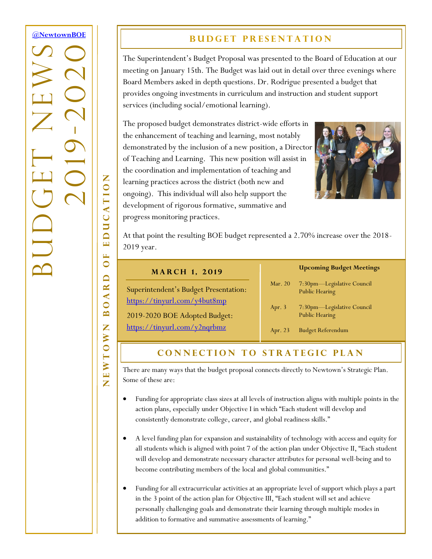# **[@NewtownBOE](http://tiny.cc/nboe1703n1t1_gd)** BUDGET NEWS -2020 2019

## **BUDGET PRESENTATION**

The Superintendent's Budget Proposal was presented to the Board of Education at our meeting on January 15th. The Budget was laid out in detail over three evenings where Board Members asked in depth questions. Dr. Rodrigue presented a budget that provides ongoing investments in curriculum and instruction and student support services (including social/emotional learning).

The proposed budget demonstrates district-wide efforts in the enhancement of teaching and learning, most notably demonstrated by the inclusion of a new position, a Director of Teaching and Learning. This new position will assist in the coordination and implementation of teaching and learning practices across the district (both new and ongoing). This individual will also help support the development of rigorous formative, summative and progress monitoring practices.



At that point the resulting BOE budget represented a 2.70% increase over the 2018- 2019 year.

#### **MARCH 1, 2019**

Superintendent's Budget Presentation: <https://tinyurl.com/y4but8mp>

2019-2020 BOE Adopted Budget:

<https://tinyurl.com/y2nqrbmz>

#### **Upcoming Budget Meetings**

- Mar. 20 7:30pm—Legislative Council Public Hearing
- Apr. 3 7:30pm—Legislative Council Public Hearing
- Apr. 23 Budget Referendum

#### **CONNECTION TO STRATEGIC PLAN**

There are many ways that the budget proposal connects directly to Newtown's Strategic Plan. Some of these are:

- Funding for appropriate class sizes at all levels of instruction aligns with multiple points in the action plans, especially under Objective I in which "Each student will develop and consistently demonstrate college, career, and global readiness skills."
- A level funding plan for expansion and sustainability of technology with access and equity for all students which is aligned with point 7 of the action plan under Objective II, "Each student will develop and demonstrate necessary character attributes for personal well-being and to become contributing members of the local and global communities."
- Funding for all extracurricular activities at an appropriate level of support which plays a part in the 3 point of the action plan for Objective III, "Each student will set and achieve personally challenging goals and demonstrate their learning through multiple modes in addition to formative and summative assessments of learning."

Z NEWTOWN BOARD OF EDUCATION EDUCATIO E  $\bullet$  $\Box$ **AR**  $\overline{\mathbf{C}}$  $\mathbf{\underline{m}}$ Z EWTOW Z